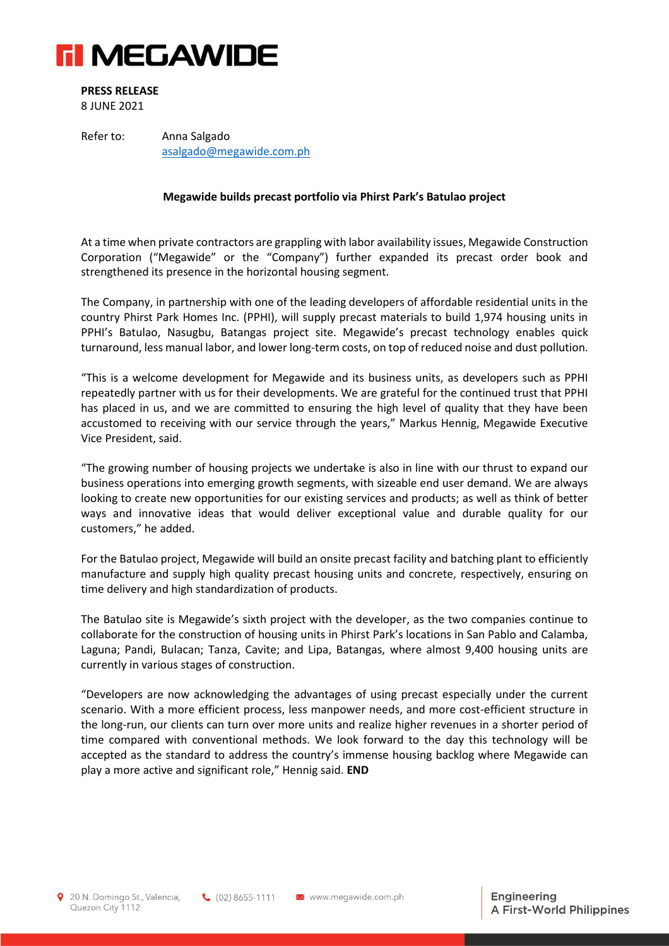

**PRESS RELEASE**

8 JUNE 2021

Refer to: Anna Salgado [asalgado@megawide.com.ph](mailto:asalgado@megawide.com.ph)

## **Megawide builds precast portfolio via Phirst Park's Batulao project**

At a time when private contractors are grappling with labor availability issues, Megawide Construction Corporation ("Megawide" or the "Company") further expanded its precast order book and strengthened its presence in the horizontal housing segment.

The Company, in partnership with one of the leading developers of affordable residential units in the country Phirst Park Homes Inc. (PPHI), will supply precast materials to build 1,974 housing units in PPHI's Batulao, Nasugbu, Batangas project site. Megawide's precast technology enables quick turnaround, less manual labor, and lower long-term costs, on top of reduced noise and dust pollution.

"This is a welcome development for Megawide and its business units, as developers such as PPHI repeatedly partner with us for their developments. We are grateful for the continued trust that PPHI has placed in us, and we are committed to ensuring the high level of quality that they have been accustomed to receiving with our service through the years," Markus Hennig, Megawide Executive Vice President, said.

"The growing number of housing projects we undertake is also in line with our thrust to expand our business operations into emerging growth segments, with sizeable end user demand. We are always looking to create new opportunities for our existing services and products; as well as think of better ways and innovative ideas that would deliver exceptional value and durable quality for our customers," he added.

For the Batulao project, Megawide will build an onsite precast facility and batching plant to efficiently manufacture and supply high quality precast housing units and concrete, respectively, ensuring on time delivery and high standardization of products.

The Batulao site is Megawide's sixth project with the developer, as the two companies continue to collaborate for the construction of housing units in Phirst Park's locations in San Pablo and Calamba, Laguna; Pandi, Bulacan; Tanza, Cavite; and Lipa, Batangas, where almost 9,400 housing units are currently in various stages of construction.

"Developers are now acknowledging the advantages of using precast especially under the current scenario. With a more efficient process, less manpower needs, and more cost-efficient structure in the long-run, our clients can turn over more units and realize higher revenues in a shorter period of time compared with conventional methods. We look forward to the day this technology will be accepted as the standard to address the country's immense housing backlog where Megawide can play a more active and significant role," Hennig said. **END**

20 N. Domingo St., Valencia, Quezon City 1112

 $\bigcup$  (02) 8655-1111  $\bigotimes$  www.megawide.com.ph

Engineering A First-World Philippines